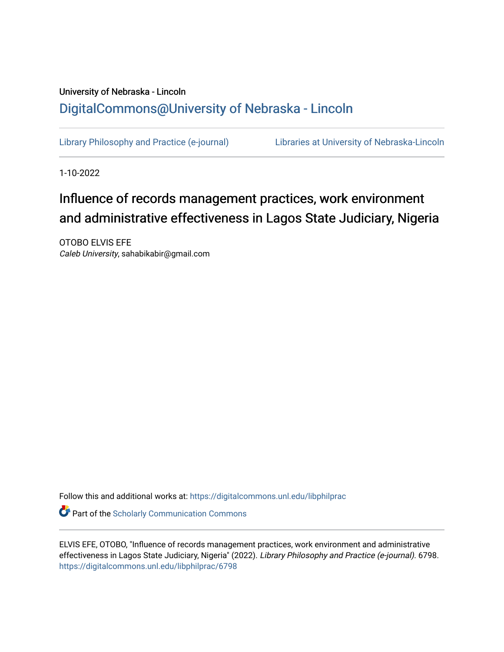# University of Nebraska - Lincoln [DigitalCommons@University of Nebraska - Lincoln](https://digitalcommons.unl.edu/)

[Library Philosophy and Practice \(e-journal\)](https://digitalcommons.unl.edu/libphilprac) [Libraries at University of Nebraska-Lincoln](https://digitalcommons.unl.edu/libraries) 

1-10-2022

# Influence of records management practices, work environment and administrative effectiveness in Lagos State Judiciary, Nigeria

OTOBO ELVIS EFE Caleb University, sahabikabir@gmail.com

Follow this and additional works at: [https://digitalcommons.unl.edu/libphilprac](https://digitalcommons.unl.edu/libphilprac?utm_source=digitalcommons.unl.edu%2Flibphilprac%2F6798&utm_medium=PDF&utm_campaign=PDFCoverPages) 

**C** Part of the Scholarly Communication Commons

ELVIS EFE, OTOBO, "Influence of records management practices, work environment and administrative effectiveness in Lagos State Judiciary, Nigeria" (2022). Library Philosophy and Practice (e-journal). 6798. [https://digitalcommons.unl.edu/libphilprac/6798](https://digitalcommons.unl.edu/libphilprac/6798?utm_source=digitalcommons.unl.edu%2Flibphilprac%2F6798&utm_medium=PDF&utm_campaign=PDFCoverPages)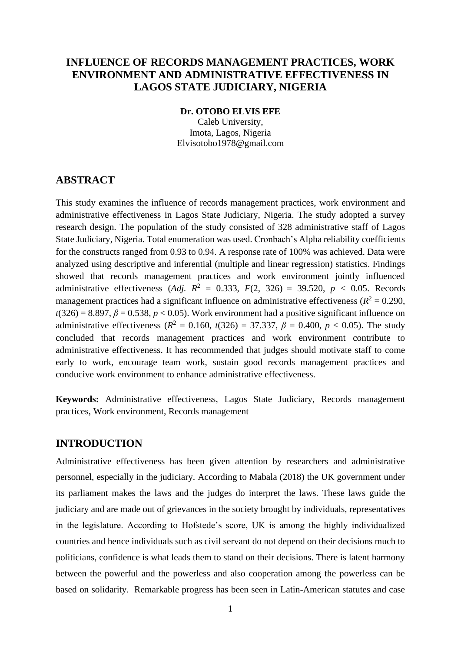# **INFLUENCE OF RECORDS MANAGEMENT PRACTICES, WORK ENVIRONMENT AND ADMINISTRATIVE EFFECTIVENESS IN LAGOS STATE JUDICIARY, NIGERIA**

## **Dr. OTOBO ELVIS EFE**

Caleb University, Imota, Lagos, Nigeria Elvisotobo1978@gmail.com

# **ABSTRACT**

This study examines the influence of records management practices, work environment and administrative effectiveness in Lagos State Judiciary, Nigeria. The study adopted a survey research design. The population of the study consisted of 328 administrative staff of Lagos State Judiciary, Nigeria. Total enumeration was used. Cronbach's Alpha reliability coefficients for the constructs ranged from 0.93 to 0.94. A response rate of 100% was achieved. Data were analyzed using descriptive and inferential (multiple and linear regression) statistics. Findings showed that records management practices and work environment jointly influenced administrative effectiveness (*Adj.*  $R^2 = 0.333$ ,  $F(2, 326) = 39.520$ ,  $p < 0.05$ . Records management practices had a significant influence on administrative effectiveness ( $R^2 = 0.290$ ,  $t(326) = 8.897$ ,  $\beta = 0.538$ ,  $p < 0.05$ ). Work environment had a positive significant influence on administrative effectiveness ( $R^2 = 0.160$ ,  $t(326) = 37.337$ ,  $\beta = 0.400$ ,  $p < 0.05$ ). The study concluded that records management practices and work environment contribute to administrative effectiveness. It has recommended that judges should motivate staff to come early to work, encourage team work, sustain good records management practices and conducive work environment to enhance administrative effectiveness.

**Keywords:** Administrative effectiveness, Lagos State Judiciary, Records management practices, Work environment, Records management

# **INTRODUCTION**

Administrative effectiveness has been given attention by researchers and administrative personnel, especially in the judiciary. According to Mabala (2018) the UK government under its parliament makes the laws and the judges do interpret the laws. These laws guide the judiciary and are made out of grievances in the society brought by individuals, representatives in the legislature. According to Hofstede's score, UK is among the highly individualized countries and hence individuals such as civil servant do not depend on their decisions much to politicians, confidence is what leads them to stand on their decisions. There is latent harmony between the powerful and the powerless and also cooperation among the powerless can be based on solidarity. Remarkable progress has been seen in Latin-American statutes and case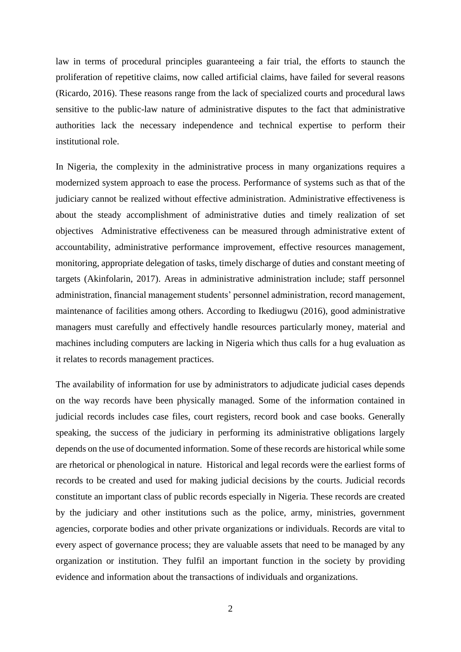law in terms of procedural principles guaranteeing a fair trial, the efforts to staunch the proliferation of repetitive claims, now called artificial claims, have failed for several reasons (Ricardo, 2016). These reasons range from the lack of specialized courts and procedural laws sensitive to the public-law nature of administrative disputes to the fact that administrative authorities lack the necessary independence and technical expertise to perform their institutional role.

In Nigeria, the complexity in the administrative process in many organizations requires a modernized system approach to ease the process. Performance of systems such as that of the judiciary cannot be realized without effective administration. Administrative effectiveness is about the steady accomplishment of administrative duties and timely realization of set objectives Administrative effectiveness can be measured through administrative extent of accountability, administrative performance improvement, effective resources management, monitoring, appropriate delegation of tasks, timely discharge of duties and constant meeting of targets (Akinfolarin, 2017). Areas in administrative administration include; staff personnel administration, financial management students' personnel administration, record management, maintenance of facilities among others. According to Ikediugwu (2016), good administrative managers must carefully and effectively handle resources particularly money, material and machines including computers are lacking in Nigeria which thus calls for a hug evaluation as it relates to records management practices.

The availability of information for use by administrators to adjudicate judicial cases depends on the way records have been physically managed. Some of the information contained in judicial records includes case files, court registers, record book and case books. Generally speaking, the success of the judiciary in performing its administrative obligations largely depends on the use of documented information. Some of these records are historical while some are rhetorical or phenological in nature. Historical and legal records were the earliest forms of records to be created and used for making judicial decisions by the courts. Judicial records constitute an important class of public records especially in Nigeria. These records are created by the judiciary and other institutions such as the police, army, ministries, government agencies, corporate bodies and other private organizations or individuals. Records are vital to every aspect of governance process; they are valuable assets that need to be managed by any organization or institution. They fulfil an important function in the society by providing evidence and information about the transactions of individuals and organizations.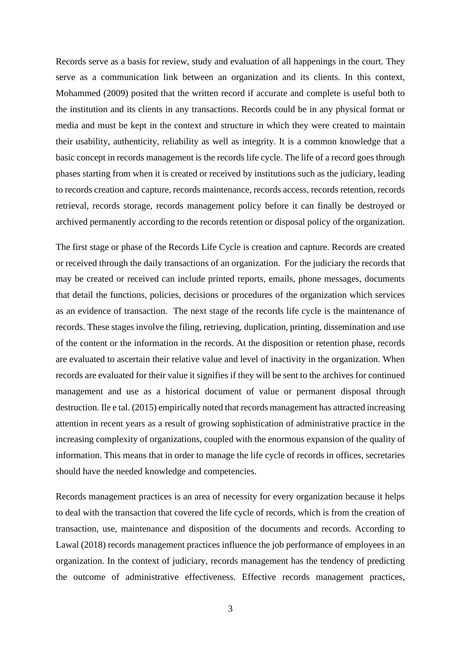Records serve as a basis for review, study and evaluation of all happenings in the court. They serve as a communication link between an organization and its clients. In this context, Mohammed (2009) posited that the written record if accurate and complete is useful both to the institution and its clients in any transactions. Records could be in any physical format or media and must be kept in the context and structure in which they were created to maintain their usability, authenticity, reliability as well as integrity. It is a common knowledge that a basic concept in records management is the records life cycle. The life of a record goes through phases starting from when it is created or received by institutions such as the judiciary, leading to records creation and capture, records maintenance, records access, records retention, records retrieval, records storage, records management policy before it can finally be destroyed or archived permanently according to the records retention or disposal policy of the organization.

The first stage or phase of the Records Life Cycle is creation and capture. Records are created or received through the daily transactions of an organization. For the judiciary the records that may be created or received can include printed reports, emails, phone messages, documents that detail the functions, policies, decisions or procedures of the organization which services as an evidence of transaction. The next stage of the records life cycle is the maintenance of records. These stages involve the filing, retrieving, duplication, printing, dissemination and use of the content or the information in the records. At the disposition or retention phase, records are evaluated to ascertain their relative value and level of inactivity in the organization. When records are evaluated for their value it signifies if they will be sent to the archives for continued management and use as a historical document of value or permanent disposal through destruction. Ile e tal. (2015) empirically noted that records management has attracted increasing attention in recent years as a result of growing sophistication of administrative practice in the increasing complexity of organizations, coupled with the enormous expansion of the quality of information. This means that in order to manage the life cycle of records in offices, secretaries should have the needed knowledge and competencies.

Records management practices is an area of necessity for every organization because it helps to deal with the transaction that covered the life cycle of records, which is from the creation of transaction, use, maintenance and disposition of the documents and records. According to Lawal (2018) records management practices influence the job performance of employees in an organization. In the context of judiciary, records management has the tendency of predicting the outcome of administrative effectiveness. Effective records management practices,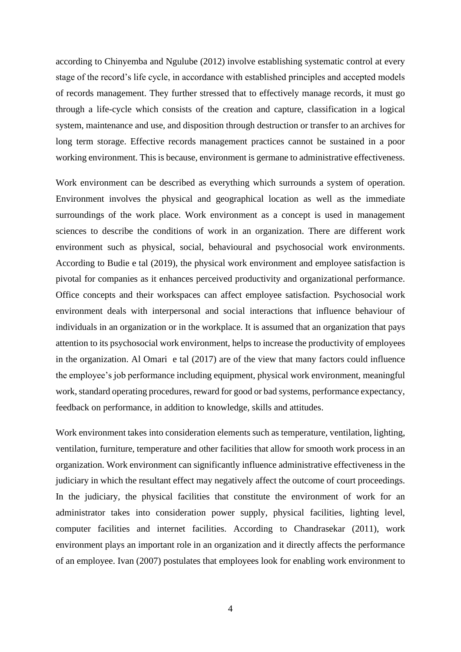according to Chinyemba and Ngulube (2012) involve establishing systematic control at every stage of the record's life cycle, in accordance with established principles and accepted models of records management. They further stressed that to effectively manage records, it must go through a life-cycle which consists of the creation and capture, classification in a logical system, maintenance and use, and disposition through destruction or transfer to an archives for long term storage. Effective records management practices cannot be sustained in a poor working environment. This is because, environment is germane to administrative effectiveness.

Work environment can be described as everything which surrounds a system of operation. Environment involves the physical and geographical location as well as the immediate surroundings of the work place. Work environment as a concept is used in management sciences to describe the conditions of work in an organization. There are different work environment such as physical, social, behavioural and psychosocial work environments. According to Budie e tal (2019), the physical work environment and employee satisfaction is pivotal for companies as it enhances perceived productivity and organizational performance. Office concepts and their workspaces can affect employee satisfaction. Psychosocial work environment deals with interpersonal and social interactions that influence behaviour of individuals in an organization or in the workplace. It is assumed that an organization that pays attention to its psychosocial work environment, helps to increase the productivity of employees in the organization. Al Omari e tal (2017) are of the view that many factors could influence the employee's job performance including equipment, physical work environment, meaningful work, standard operating procedures, reward for good or bad systems, performance expectancy, feedback on performance, in addition to knowledge, skills and attitudes.

Work environment takes into consideration elements such as temperature, ventilation, lighting, ventilation, furniture, temperature and other facilities that allow for smooth work process in an organization. Work environment can significantly influence administrative effectiveness in the judiciary in which the resultant effect may negatively affect the outcome of court proceedings. In the judiciary, the physical facilities that constitute the environment of work for an administrator takes into consideration power supply, physical facilities, lighting level, computer facilities and internet facilities. According to Chandrasekar (2011), work environment plays an important role in an organization and it directly affects the performance of an employee. Ivan (2007) postulates that employees look for enabling work environment to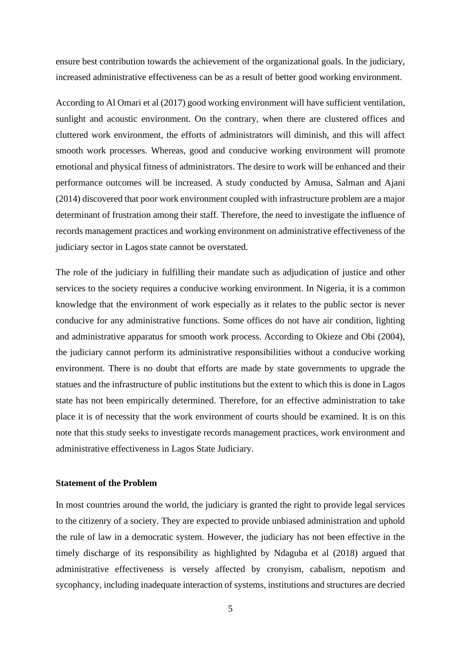ensure best contribution towards the achievement of the organizational goals. In the judiciary, increased administrative effectiveness can be as a result of better good working environment.

According to Al Omari et al (2017) good working environment will have sufficient ventilation, sunlight and acoustic environment. On the contrary, when there are clustered offices and cluttered work environment, the efforts of administrators will diminish, and this will affect smooth work processes. Whereas, good and conducive working environment will promote emotional and physical fitness of administrators. The desire to work will be enhanced and their performance outcomes will be increased. A study conducted by Amusa, Salman and Ajani (2014) discovered that poor work environment coupled with infrastructure problem are a major determinant of frustration among their staff. Therefore, the need to investigate the influence of records management practices and working environment on administrative effectiveness of the judiciary sector in Lagos state cannot be overstated.

The role of the judiciary in fulfilling their mandate such as adjudication of justice and other services to the society requires a conducive working environment. In Nigeria, it is a common knowledge that the environment of work especially as it relates to the public sector is never conducive for any administrative functions. Some offices do not have air condition, lighting and administrative apparatus for smooth work process. According to Okieze and Obi (2004), the judiciary cannot perform its administrative responsibilities without a conducive working environment. There is no doubt that efforts are made by state governments to upgrade the statues and the infrastructure of public institutions but the extent to which this is done in Lagos state has not been empirically determined. Therefore, for an effective administration to take place it is of necessity that the work environment of courts should be examined. It is on this note that this study seeks to investigate records management practices, work environment and administrative effectiveness in Lagos State Judiciary.

# **Statement of the Problem**

In most countries around the world, the judiciary is granted the right to provide legal services to the citizenry of a society. They are expected to provide unbiased administration and uphold the rule of law in a democratic system. However, the judiciary has not been effective in the timely discharge of its responsibility as highlighted by Ndaguba et al (2018) argued that administrative effectiveness is versely affected by cronyism, cabalism, nepotism and sycophancy, including inadequate interaction of systems, institutions and structures are decried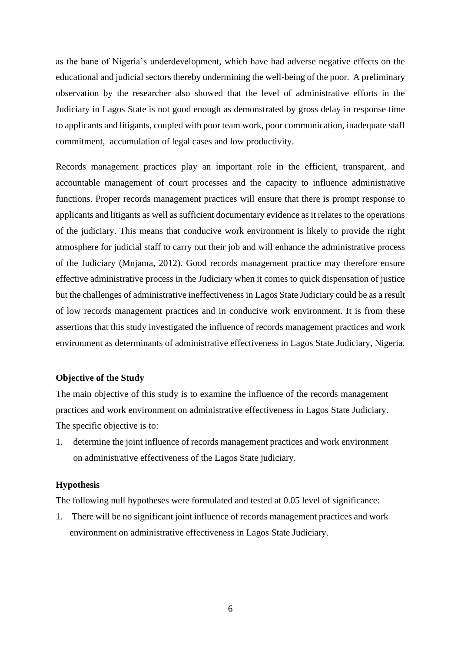as the bane of Nigeria's underdevelopment, which have had adverse negative effects on the educational and judicial sectors thereby undermining the well-being of the poor. A preliminary observation by the researcher also showed that the level of administrative efforts in the Judiciary in Lagos State is not good enough as demonstrated by gross delay in response time to applicants and litigants, coupled with poor team work, poor communication, inadequate staff commitment, accumulation of legal cases and low productivity.

Records management practices play an important role in the efficient, transparent, and accountable management of court processes and the capacity to influence administrative functions. Proper records management practices will ensure that there is prompt response to applicants and litigants as well as sufficient documentary evidence as it relates to the operations of the judiciary. This means that conducive work environment is likely to provide the right atmosphere for judicial staff to carry out their job and will enhance the administrative process of the Judiciary (Mnjama, 2012). Good records management practice may therefore ensure effective administrative process in the Judiciary when it comes to quick dispensation of justice but the challenges of administrative ineffectiveness in Lagos State Judiciary could be as a result of low records management practices and in conducive work environment. It is from these assertions that this study investigated the influence of records management practices and work environment as determinants of administrative effectiveness in Lagos State Judiciary, Nigeria.

# **Objective of the Study**

The main objective of this study is to examine the influence of the records management practices and work environment on administrative effectiveness in Lagos State Judiciary. The specific objective is to:

1. determine the joint influence of records management practices and work environment on administrative effectiveness of the Lagos State judiciary.

#### **Hypothesis**

The following null hypotheses were formulated and tested at 0.05 level of significance:

1. There will be no significant joint influence of records management practices and work environment on administrative effectiveness in Lagos State Judiciary.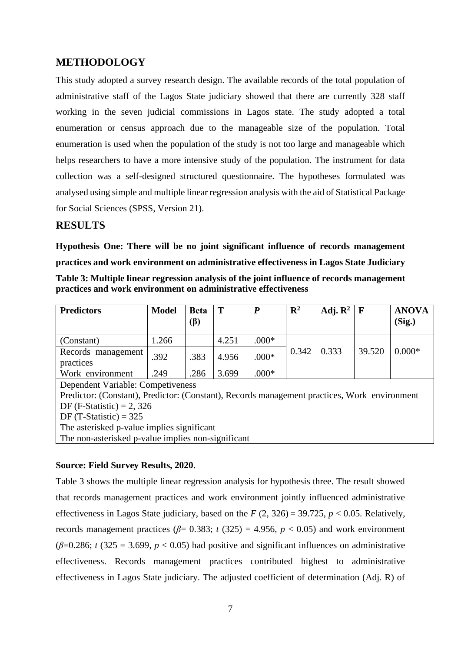# **METHODOLOGY**

This study adopted a survey research design. The available records of the total population of administrative staff of the Lagos State judiciary showed that there are currently 328 staff working in the seven judicial commissions in Lagos state. The study adopted a total enumeration or census approach due to the manageable size of the population. Total enumeration is used when the population of the study is not too large and manageable which helps researchers to have a more intensive study of the population. The instrument for data collection was a self-designed structured questionnaire. The hypotheses formulated was analysed using simple and multiple linear regression analysis with the aid of Statistical Package for Social Sciences (SPSS, Version 21).

# **RESULTS**

**Hypothesis One: There will be no joint significant influence of records management practices and work environment on administrative effectiveness in Lagos State Judiciary**

| Table 3: Multiple linear regression analysis of the joint influence of records management |
|-------------------------------------------------------------------------------------------|
| practices and work environment on administrative effectiveness                            |

| <b>Predictors</b>                                                                            | <b>Model</b> | <b>Beta</b> | T     | $\boldsymbol{P}$ | $\mathbf{R}^2$ | Adj. $\mathbb{R}^2$ | F      | <b>ANOVA</b> |  |
|----------------------------------------------------------------------------------------------|--------------|-------------|-------|------------------|----------------|---------------------|--------|--------------|--|
|                                                                                              |              | $(\beta)$   |       |                  |                |                     |        | (Sig.)       |  |
| (Constant)                                                                                   | 1.266        |             | 4.251 | $.000*$          |                | 0.333               | 39.520 | $0.000*$     |  |
| Records management                                                                           | .392         | .383        | 4.956 | $.000*$          | 0.342          |                     |        |              |  |
| practices                                                                                    |              |             |       |                  |                |                     |        |              |  |
| Work environment                                                                             | .249         | .286        | 3.699 | $.000*$          |                |                     |        |              |  |
| Dependent Variable: Competiveness                                                            |              |             |       |                  |                |                     |        |              |  |
| Predictor: (Constant), Predictor: (Constant), Records management practices, Work environment |              |             |       |                  |                |                     |        |              |  |
| DF (F-Statistic) = 2, 326                                                                    |              |             |       |                  |                |                     |        |              |  |
| DF (T-Statistic) = $325$                                                                     |              |             |       |                  |                |                     |        |              |  |
| The asterisked p-value implies significant                                                   |              |             |       |                  |                |                     |        |              |  |
| The non-asterisked p-value implies non-significant                                           |              |             |       |                  |                |                     |        |              |  |

# **Source: Field Survey Results, 2020**.

Table 3 shows the multiple linear regression analysis for hypothesis three. The result showed that records management practices and work environment jointly influenced administrative effectiveness in Lagos State judiciary, based on the  $F(2, 326) = 39.725$ ,  $p < 0.05$ . Relatively, records management practices ( $\beta$ = 0.383; *t* (325) = 4.956, *p* < 0.05) and work environment ( $\beta$ =0.286; *t* (325 = 3.699, *p* < 0.05) had positive and significant influences on administrative effectiveness. Records management practices contributed highest to administrative effectiveness in Lagos State judiciary. The adjusted coefficient of determination (Adj. R) of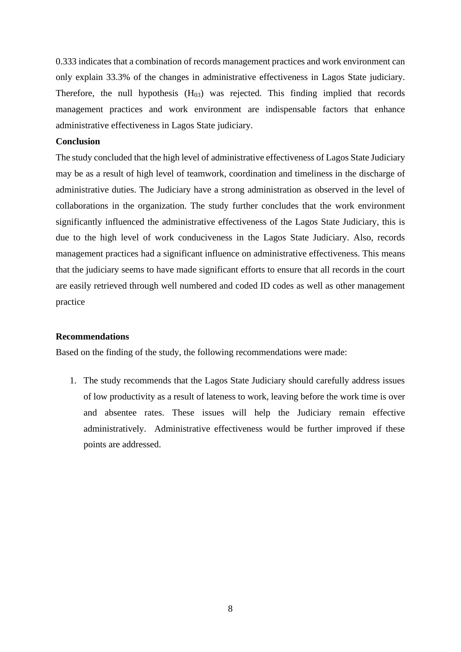0.333 indicates that a combination of records management practices and work environment can only explain 33.3% of the changes in administrative effectiveness in Lagos State judiciary. Therefore, the null hypothesis  $(H<sub>03</sub>)$  was rejected. This finding implied that records management practices and work environment are indispensable factors that enhance administrative effectiveness in Lagos State judiciary.

## **Conclusion**

The study concluded that the high level of administrative effectiveness of Lagos State Judiciary may be as a result of high level of teamwork, coordination and timeliness in the discharge of administrative duties. The Judiciary have a strong administration as observed in the level of collaborations in the organization. The study further concludes that the work environment significantly influenced the administrative effectiveness of the Lagos State Judiciary, this is due to the high level of work conduciveness in the Lagos State Judiciary. Also, records management practices had a significant influence on administrative effectiveness. This means that the judiciary seems to have made significant efforts to ensure that all records in the court are easily retrieved through well numbered and coded ID codes as well as other management practice

# **Recommendations**

Based on the finding of the study, the following recommendations were made:

1. The study recommends that the Lagos State Judiciary should carefully address issues of low productivity as a result of lateness to work, leaving before the work time is over and absentee rates. These issues will help the Judiciary remain effective administratively. Administrative effectiveness would be further improved if these points are addressed.